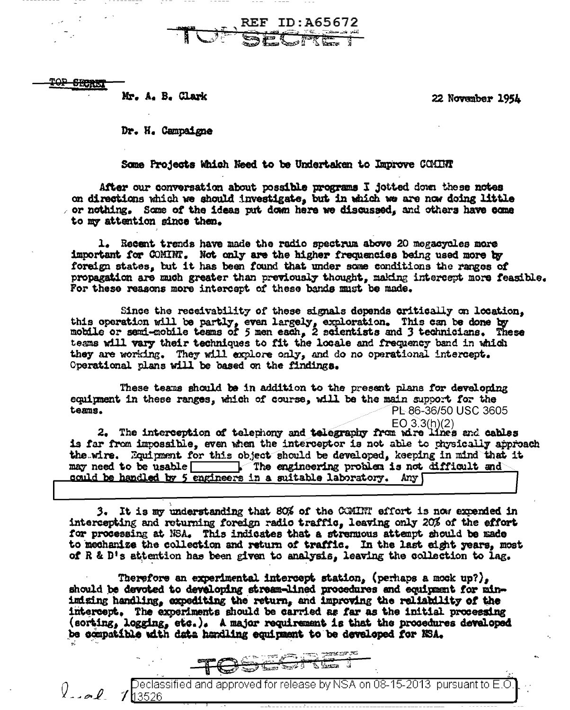TOP SECRET

 $\int_{-\infty}$ 

 $7h3526$ 

Mr. A. B. Clark

22 November 1954

Dr. H. Campaigne

Some Projects Which Need to be Undertaken to Improve COMINT

**REF ID:A65672** 

After our conversation about possible programs I jotted down these notes on directions which we should investigate, but in which we are now doing little  $\sim$  or nothing. Some of the ideas put down here we discussed, and others have come to my attention since then.

1. Recent trends have made the radio spectrum above 20 megacycles more important for COMINT. Not only are the higher frequencies being used more by foreign states, but it has been found that under some conditions the ranges of propagation are much greater than previously thought, making intercept more feasible. For these reasons more intercept of these bands must be made.

Since the receivability of these signals depends critically on location. this operation will be partly, even largely, exploration. This can be done by mobile or send-mobile teams of 5 men each, 2 scientists and 3 technicians. These tesms will vary their techniques to fit the locale and frequency band in which they are working. They will explore only, and do no operational intercept. Operational plans will be based on the findings.

These teams should be in addition to the present plans for developing equipment in these ranges, which of course, will be the main support for the teams. PL 86-36/50 USC 3605

 $EO 3.3(h)(2)$ 2. The interception of telephony and telegraphy from wire lines and cables is far from impossible, even when the interceptor is not able to physically approach the wire. Equipment for this object should be developed, keeping in mind that it may need to be usable The engineering problem is not difficult and could be handled by 5 engineers in a suitable laboratory. Any

3. It is my understanding that 80% of the CCMINT effort is now expended in intercepting and returning foreign radio traffic. leaving only 20% of the effort for processing at NSA. This indicates that a stremuous attempt should be made to mechanize the collection and return of traffic. In the last eight years, most of R & D's attention has been given to analysis. leaving the collection to lag.

Therefore an experimental intercept station, (perhaps a mock up?), should be devoted to developing stream-lined procedures and equipment for mininizing handling, expediting the return, and improving the reliability of the intercept. The experiments should be carried as far as the initial processing (sorting, logging, etc.). A major requirement is that the procedures developed be compatible with data handling equipment to be developed for NSA.



Declassified and approved for release by NSA on 08-15-2013  $\,$  pursuant to E.O  $\,$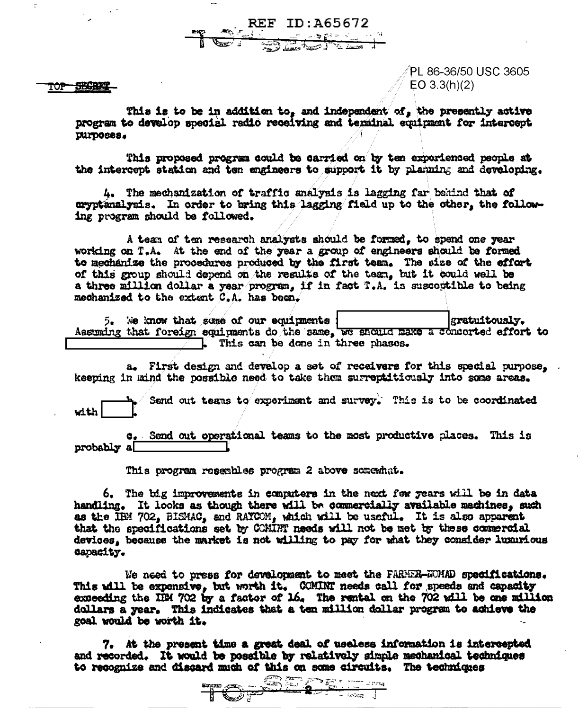REF ID: A65672 The Common

**SBCRET** TOP

PL 86-36/50 USC 3605  $EO$  3.3(h)(2)

This is to be in addition to, and independent of, the presently active program to develop special radio receiving and terminal equipment for intercept DUFDOSCS.

This proposed program could be carried on by ten experienced people at the intercept station and ten engineers to support it by planning and developing.

4. The mechanization of traffic analysis is lagging far behind that of cryptanalysis. In order to bring this lagging field up to the other, the following program should be followed.

A team of ten research analysts should be formed, to spend one year working on T.A. At the end of the year a group of engineers should be formed to mechanize the procedures produced by the first team. The size of the effort of this group should depend on the results of the team, but it could well be a three million dollar a year program, if in fact T.A. is susceptible to being mechanized to the extent C.A. has been.

5. We know that some of our equipments | sratuitously.<br>Assuming that foreign equipments do the same, we should make a concerted effort to

a. First design and develop a set of receivers for this special purpose. keeping in mind the possible need to take them surreptitiously into some areas.

Send out teams to experiment and survey. This is to be coordinated  $with$ 

c. Send out operational teams to the most productive places. This is probably a

This program resembles program 2 above somewhat.

6. The big improvements in computers in the next few years will be in data handling. It looks as though there will be commercially available machines. such as the IBM 702, BISMAC, and RAYCOM, which will be useful. It is also apparent that the specifications set by COMINT needs will not be met by these commercial devices, because the market is not willing to pay for what they consider luxurious capacity.

We need to press for development to meet the FARMER-WMAD specifications. This will be expensive, but worth it. COMINT needs call for speeds and capacity exceeding the IBM 702 by a factor of 16. The rental on the 702 will be one million dollars a year. This indicates that a ten million dollar program to achieve the goal would be worth it.

7. At the present time a great deal of useless information is intercepted and recorded. It would be possible by relatively simple mechanical techniques to recognize and discard much of this on some circuits. The techniques